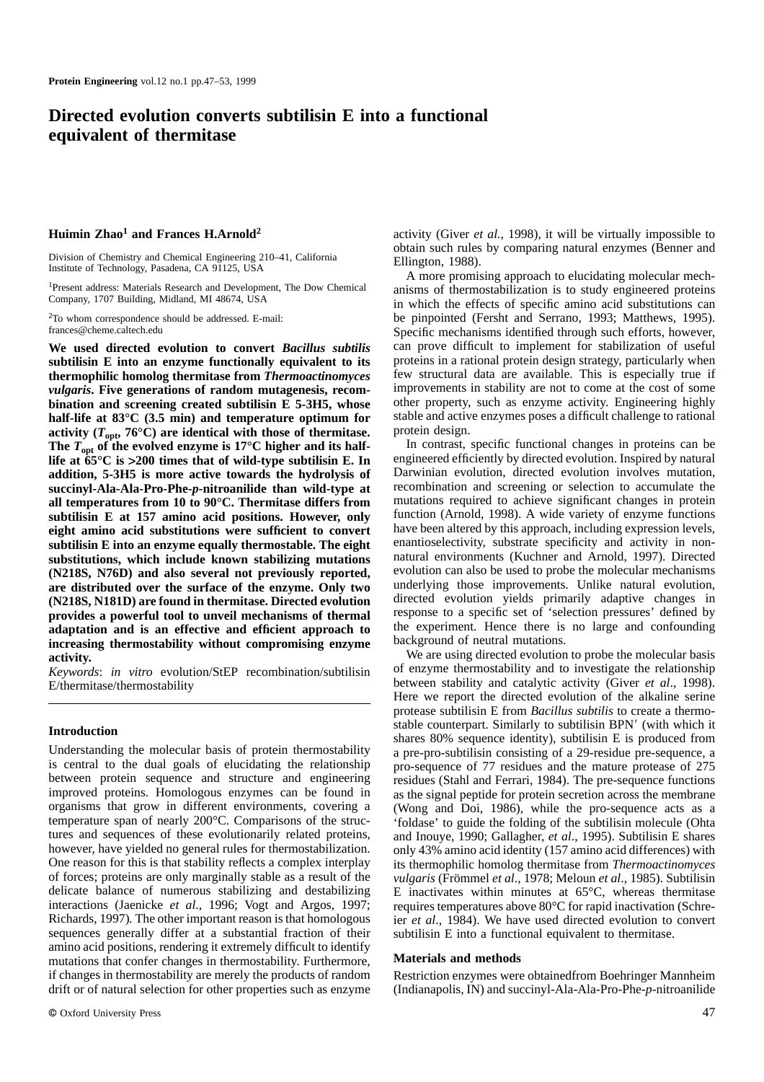# **Directed evolution converts subtilisin E into a functional equivalent of thermitase**

# **Huimin Zhao<sup>1</sup> and Frances H.Arnold<sup>2</sup>**

Division of Chemistry and Chemical Engineering 210–41, California Institute of Technology, Pasadena, CA 91125, USA

1Present address: Materials Research and Development, The Dow Chemical Company, 1707 Building, Midland, MI 48674, USA

2To whom correspondence should be addressed. E-mail: frances@cheme.caltech.edu

**We used directed evolution to convert** *Bacillus subtilis* **subtilisin E into an enzyme functionally equivalent to its thermophilic homolog thermitase from** *Thermoactinomyces vulgaris***. Five generations of random mutagenesis, recombination and screening created subtilisin E 5-3H5, whose half-life at 83°C (3.5 min) and temperature optimum for** activity  $(T_{\text{opt}}, 76^{\circ} \text{C})$  are identical with those of thermitase. The  $T_{\text{out}}$  of the evolved enzyme is 17<sup>o</sup>C higher and its half**life at 65°C is >200 times that of wild-type subtilisin E. In addition, 5-3H5 is more active towards the hydrolysis of succinyl-Ala-Ala-Pro-Phe-***p***-nitroanilide than wild-type at all temperatures from 10 to 90°C. Thermitase differs from subtilisin E at 157 amino acid positions. However, only eight amino acid substitutions were sufficient to convert subtilisin E into an enzyme equally thermostable. The eight substitutions, which include known stabilizing mutations (N218S, N76D) and also several not previously reported, are distributed over the surface of the enzyme. Only two (N218S, N181D) are found in thermitase. Directed evolution provides a powerful tool to unveil mechanisms of thermal adaptation and is an effective and efficient approach to increasing thermostability without compromising enzyme activity.**

*Keywords*: *in vitro* evolution/StEP recombination/subtilisin E/thermitase/thermostability

## **Introduction**

Understanding the molecular basis of protein thermostability is central to the dual goals of elucidating the relationship between protein sequence and structure and engineering improved proteins. Homologous enzymes can be found in organisms that grow in different environments, covering a temperature span of nearly 200°C. Comparisons of the structures and sequences of these evolutionarily related proteins, however, have yielded no general rules for thermostabilization. One reason for this is that stability reflects a complex interplay of forces; proteins are only marginally stable as a result of the delicate balance of numerous stabilizing and destabilizing interactions (Jaenicke *et al.*, 1996; Vogt and Argos, 1997; Richards, 1997)*.* The other important reason is that homologous sequences generally differ at a substantial fraction of their amino acid positions, rendering it extremely difficult to identify mutations that confer changes in thermostability. Furthermore, if changes in thermostability are merely the products of random drift or of natural selection for other properties such as enzyme activity (Giver *et al.*, 1998), it will be virtually impossible to obtain such rules by comparing natural enzymes (Benner and Ellington, 1988).

A more promising approach to elucidating molecular mechanisms of thermostabilization is to study engineered proteins in which the effects of specific amino acid substitutions can be pinpointed (Fersht and Serrano, 1993; Matthews, 1995). Specific mechanisms identified through such efforts, however, can prove difficult to implement for stabilization of useful proteins in a rational protein design strategy, particularly when few structural data are available. This is especially true if improvements in stability are not to come at the cost of some other property, such as enzyme activity. Engineering highly stable and active enzymes poses a difficult challenge to rational protein design.

In contrast, specific functional changes in proteins can be engineered efficiently by directed evolution. Inspired by natural Darwinian evolution, directed evolution involves mutation, recombination and screening or selection to accumulate the mutations required to achieve significant changes in protein function (Arnold, 1998). A wide variety of enzyme functions have been altered by this approach, including expression levels, enantioselectivity, substrate specificity and activity in nonnatural environments (Kuchner and Arnold, 1997). Directed evolution can also be used to probe the molecular mechanisms underlying those improvements. Unlike natural evolution, directed evolution yields primarily adaptive changes in response to a specific set of 'selection pressures' defined by the experiment. Hence there is no large and confounding background of neutral mutations.

We are using directed evolution to probe the molecular basis of enzyme thermostability and to investigate the relationship between stability and catalytic activity (Giver *et al*., 1998). Here we report the directed evolution of the alkaline serine protease subtilisin E from *Bacillus subtilis* to create a thermostable counterpart. Similarly to subtilisin BPN' (with which it shares 80% sequence identity), subtilisin E is produced from a pre-pro-subtilisin consisting of a 29-residue pre-sequence, a pro-sequence of 77 residues and the mature protease of 275 residues (Stahl and Ferrari, 1984). The pre-sequence functions as the signal peptide for protein secretion across the membrane (Wong and Doi, 1986), while the pro-sequence acts as a 'foldase' to guide the folding of the subtilisin molecule (Ohta and Inouye, 1990; Gallagher, *et al*., 1995). Subtilisin E shares only 43% amino acid identity (157 amino acid differences) with its thermophilic homolog thermitase from *Thermoactinomyces vulgaris* (Frömmel *et al.*, 1978; Meloun *et al.*, 1985). Subtilisin E inactivates within minutes at 65°C, whereas thermitase requires temperatures above 80°C for rapid inactivation (Schreier *et al*., 1984). We have used directed evolution to convert subtilisin E into a functional equivalent to thermitase.

#### **Materials and methods**

Restriction enzymes were obtainedfrom Boehringer Mannheim (Indianapolis, IN) and succinyl-Ala-Ala-Pro-Phe-*p*-nitroanilide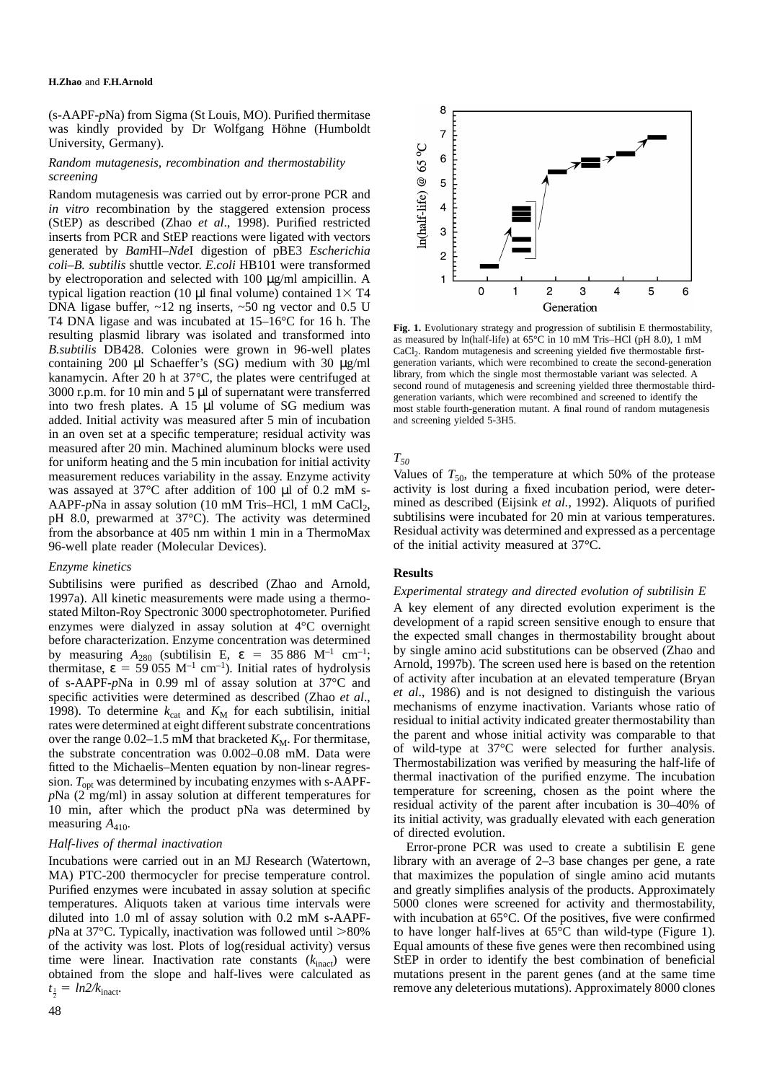#### **H.Zhao** and **F.H.Arnold**

(s-AAPF-*p*Na) from Sigma (St Louis, MO). Purified thermitase was kindly provided by Dr Wolfgang Höhne (Humboldt University, Germany).

# *Random mutagenesis, recombination and thermostability screening*

Random mutagenesis was carried out by error-prone PCR and *in vitro* recombination by the staggered extension process (StEP) as described (Zhao *et al*., 1998). Purified restricted inserts from PCR and StEP reactions were ligated with vectors generated by *Bam*HI–*Nde*I digestion of pBE3 *Escherichia coli*–*B. subtilis* shuttle vector. *E.coli* HB101 were transformed by electroporation and selected with 100 µg/ml ampicillin. A typical ligation reaction (10  $\mu$ l final volume) contained 1 $\times$  T4 DNA ligase buffer, ~12 ng inserts, ~50 ng vector and 0.5 U T4 DNA ligase and was incubated at 15–16°C for 16 h. The resulting plasmid library was isolated and transformed into *B.subtilis* DB428. Colonies were grown in 96-well plates containing 200 µl Schaeffer's (SG) medium with 30 µg/ml kanamycin. After 20 h at 37°C, the plates were centrifuged at 3000 r.p.m. for 10 min and 5 µl of supernatant were transferred into two fresh plates. A 15 µl volume of SG medium was added. Initial activity was measured after 5 min of incubation in an oven set at a specific temperature; residual activity was measured after 20 min. Machined aluminum blocks were used for uniform heating and the 5 min incubation for initial activity measurement reduces variability in the assay. Enzyme activity was assayed at 37°C after addition of 100 µl of 0.2 mM s-AAPF-*p*Na in assay solution (10 mM Tris–HCl, 1 mM CaCl<sub>2</sub>, pH 8.0, prewarmed at 37°C). The activity was determined from the absorbance at 405 nm within 1 min in a ThermoMax 96-well plate reader (Molecular Devices).

# *Enzyme kinetics*

Subtilisins were purified as described (Zhao and Arnold, 1997a). All kinetic measurements were made using a thermostated Milton-Roy Spectronic 3000 spectrophotometer. Purified enzymes were dialyzed in assay solution at 4°C overnight before characterization. Enzyme concentration was determined by measuring  $A_{280}$  (subtilisin E,  $\varepsilon = 35,886$  M<sup>-1</sup> cm<sup>-1</sup>; thermitase,  $\varepsilon = 59.055$  M<sup>-1</sup> cm<sup>-1</sup>). Initial rates of hydrolysis of s-AAPF-*p*Na in 0.99 ml of assay solution at 37°C and specific activities were determined as described (Zhao *et al*., 1998). To determine  $k_{cat}$  and  $K_M$  for each subtilisin, initial rates were determined at eight different substrate concentrations over the range  $0.02-1.5$  mM that bracketed  $K_M$ . For thermitase, the substrate concentration was 0.002–0.08 mM. Data were fitted to the Michaelis–Menten equation by non-linear regression.  $T_{\text{out}}$  was determined by incubating enzymes with s-AAPF*p*Na (2 mg/ml) in assay solution at different temperatures for 10 min, after which the product pNa was determined by measuring  $A_{410}$ .

# *Half-lives of thermal inactivation*

Incubations were carried out in an MJ Research (Watertown, MA) PTC-200 thermocycler for precise temperature control. Purified enzymes were incubated in assay solution at specific temperatures. Aliquots taken at various time intervals were diluted into 1.0 ml of assay solution with 0.2 mM s-AAPF $p$ Na at 37°C. Typically, inactivation was followed until  $>80\%$ of the activity was lost. Plots of log(residual activity) versus time were linear. Inactivation rate constants  $(k<sub>inact</sub>)$  were obtained from the slope and half-lives were calculated as  $t_{\frac{1}{2}} = ln2/k_{\text{inact}}.$ 

8  $\overline{7}$  $n$ (half-life) @ 65 $^{\circ}$ C  $\overline{6}$ 5  $\overline{4}$ 3  $\overline{2}$  $\mathbf{1}$  $\mathbf 0$  $\overline{c}$ 3 5 6 4  $\mathbf 1$ Generation

**Fig. 1.** Evolutionary strategy and progression of subtilisin E thermostability, as measured by ln(half-life) at 65°C in 10 mM Tris–HCl (pH 8.0), 1 mM CaCl<sub>2</sub>. Random mutagenesis and screening yielded five thermostable firstgeneration variants, which were recombined to create the second-generation library, from which the single most thermostable variant was selected. A second round of mutagenesis and screening yielded three thermostable thirdgeneration variants, which were recombined and screened to identify the most stable fourth-generation mutant. A final round of random mutagenesis and screening yielded 5-3H5.

# $T_{50}$

Values of  $T_{50}$ , the temperature at which 50% of the protease activity is lost during a fixed incubation period, were determined as described (Eijsink *et al.*, 1992). Aliquots of purified subtilisins were incubated for 20 min at various temperatures. Residual activity was determined and expressed as a percentage of the initial activity measured at 37°C.

# **Results**

*Experimental strategy and directed evolution of subtilisin E* A key element of any directed evolution experiment is the development of a rapid screen sensitive enough to ensure that the expected small changes in thermostability brought about by single amino acid substitutions can be observed (Zhao and Arnold, 1997b). The screen used here is based on the retention of activity after incubation at an elevated temperature (Bryan *et al*., 1986) and is not designed to distinguish the various mechanisms of enzyme inactivation. Variants whose ratio of residual to initial activity indicated greater thermostability than the parent and whose initial activity was comparable to that of wild-type at 37°C were selected for further analysis. Thermostabilization was verified by measuring the half-life of thermal inactivation of the purified enzyme. The incubation temperature for screening, chosen as the point where the residual activity of the parent after incubation is 30–40% of its initial activity, was gradually elevated with each generation of directed evolution.

Error-prone PCR was used to create a subtilisin E gene library with an average of 2–3 base changes per gene, a rate that maximizes the population of single amino acid mutants and greatly simplifies analysis of the products. Approximately 5000 clones were screened for activity and thermostability, with incubation at 65°C. Of the positives, five were confirmed to have longer half-lives at 65°C than wild-type (Figure 1). Equal amounts of these five genes were then recombined using StEP in order to identify the best combination of beneficial mutations present in the parent genes (and at the same time remove any deleterious mutations). Approximately 8000 clones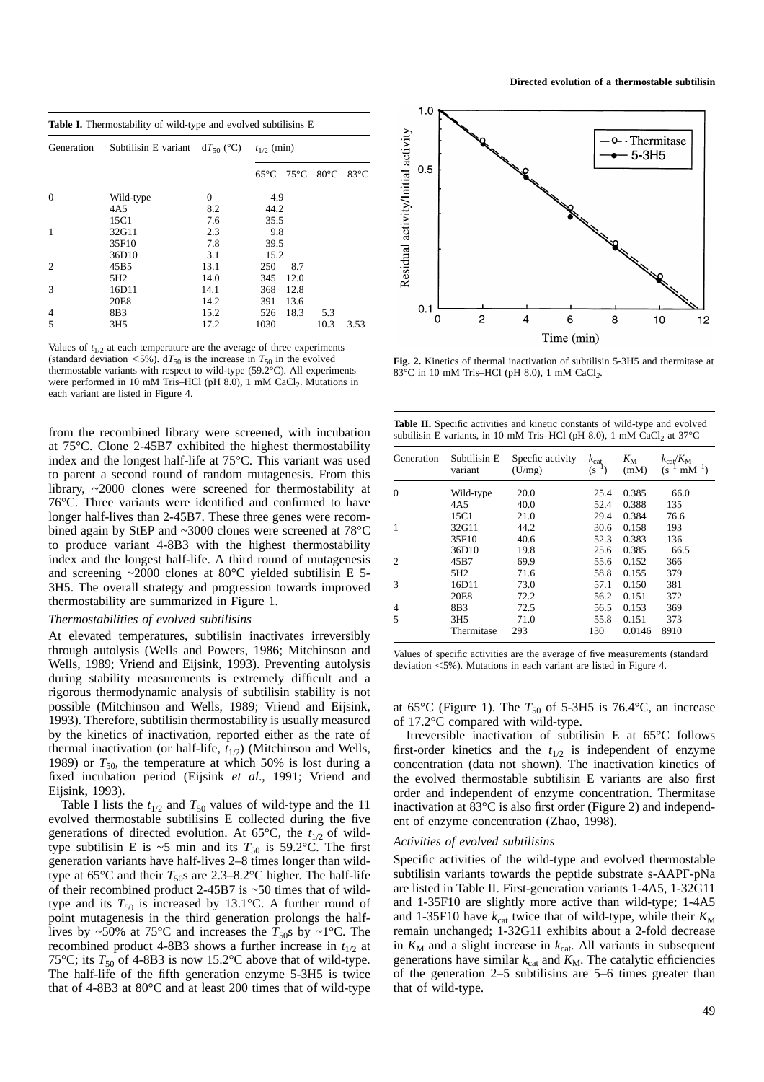| <b>Table I.</b> Thermostability of wild-type and evolved subtilisins E |                                                     |      |                                                |                |  |  |  |  |
|------------------------------------------------------------------------|-----------------------------------------------------|------|------------------------------------------------|----------------|--|--|--|--|
| Generation                                                             | Subtilisin E variant $dT_{50}$ (°C) $t_{1/2}$ (min) |      |                                                |                |  |  |  |  |
|                                                                        |                                                     |      | $65^{\circ}$ C 75 $^{\circ}$ C 80 $^{\circ}$ C | $83^{\circ}$ C |  |  |  |  |
| $\Omega$                                                               | Wild-type                                           | 0    | 4.9                                            |                |  |  |  |  |
|                                                                        | 4A5                                                 | 8.2  | 44.2                                           |                |  |  |  |  |
|                                                                        | 15C1                                                | 7.6  | 35.5                                           |                |  |  |  |  |
| 1                                                                      | 32G11                                               | 2.3  | 9.8                                            |                |  |  |  |  |
|                                                                        | 35F10                                               | 7.8  | 39.5                                           |                |  |  |  |  |
|                                                                        | 36D10                                               | 3.1  | 15.2                                           |                |  |  |  |  |
| $\overline{c}$                                                         | 45B5                                                | 13.1 | 250<br>8.7                                     |                |  |  |  |  |
|                                                                        | 5H <sub>2</sub>                                     | 14.0 | 12.0<br>345                                    |                |  |  |  |  |
| 3                                                                      | 16D11                                               | 14.1 | 368<br>12.8                                    |                |  |  |  |  |
|                                                                        | 20E8                                                | 14.2 | 391<br>13.6                                    |                |  |  |  |  |
| $\overline{4}$                                                         | 8B3                                                 | 15.2 | 526<br>18.3                                    | 5.3            |  |  |  |  |
| 5                                                                      | 3H <sub>5</sub>                                     | 17.2 | 1030                                           | 10.3<br>3.53   |  |  |  |  |

Values of  $t_{1/2}$  at each temperature are the average of three experiments (standard deviation  $\leq 5\%$ ). d $T_{50}$  is the increase in  $T_{50}$  in the evolved thermostable variants with respect to wild-type (59.2°C). All experiments were performed in 10 mM Tris–HCl (pH  $8.0$ ), 1 mM CaCl<sub>2</sub>. Mutations in each variant are listed in Figure 4.

from the recombined library were screened, with incubation at 75°C. Clone 2-45B7 exhibited the highest thermostability index and the longest half-life at 75°C. This variant was used to parent a second round of random mutagenesis. From this library, ~2000 clones were screened for thermostability at 76°C. Three variants were identified and confirmed to have longer half-lives than 2-45B7. These three genes were recombined again by StEP and ~3000 clones were screened at 78°C to produce variant 4-8B3 with the highest thermostability index and the longest half-life. A third round of mutagenesis and screening ~2000 clones at 80°C yielded subtilisin E 5- 3H5. The overall strategy and progression towards improved thermostability are summarized in Figure 1.

## *Thermostabilities of evolved subtilisins*

At elevated temperatures, subtilisin inactivates irreversibly through autolysis (Wells and Powers, 1986; Mitchinson and Wells, 1989; Vriend and Eijsink, 1993). Preventing autolysis during stability measurements is extremely difficult and a rigorous thermodynamic analysis of subtilisin stability is not possible (Mitchinson and Wells, 1989; Vriend and Eijsink, 1993). Therefore, subtilisin thermostability is usually measured by the kinetics of inactivation, reported either as the rate of thermal inactivation (or half-life,  $t_{1/2}$ ) (Mitchinson and Wells, 1989) or  $T_{50}$ , the temperature at which 50% is lost during a fixed incubation period (Eijsink *et al*., 1991; Vriend and Eijsink, 1993).

Table I lists the  $t_{1/2}$  and  $T_{50}$  values of wild-type and the 11 evolved thermostable subtilisins E collected during the five generations of directed evolution. At 65 $\degree$ C, the  $t_{1/2}$  of wildtype subtilisin E is  $\sim$ 5 min and its  $T_{50}$  is 59.2°C. The first generation variants have half-lives 2–8 times longer than wildtype at  $65^{\circ}$ C and their  $T_{50}$ s are 2.3–8.2°C higher. The half-life of their recombined product 2-45B7 is ~50 times that of wildtype and its  $T_{50}$  is increased by 13.1°C. A further round of point mutagenesis in the third generation prolongs the halflives by ~50% at 75°C and increases the  $T_{50}$ s by ~1°C. The recombined product 4-8B3 shows a further increase in  $t_{1/2}$  at 75°C; its  $T_{50}$  of 4-8B3 is now 15.2°C above that of wild-type. The half-life of the fifth generation enzyme 5-3H5 is twice that of 4-8B3 at 80°C and at least 200 times that of wild-type



**Fig. 2.** Kinetics of thermal inactivation of subtilisin 5-3H5 and thermitase at 83°C in 10 mM Tris–HCl (pH 8.0), 1 mM CaCl*2.*

| <b>Table II.</b> Specific activities and kinetic constants of wild-type and evolved         |
|---------------------------------------------------------------------------------------------|
| subtilisin E variants, in 10 mM Tris-HCl (pH 8.0), 1 mM CaCl <sub>2</sub> at $37^{\circ}$ C |

| Generation               | Subtilisin E<br>variant | Specfic activity<br>(U/mg) | $k_{\text{cat}}$<br>$(s^{-1})$ | $K_{\rm M}$<br>(mM) | $k_{\text{cat}}/K_{\text{M}}$<br>$(s^{-1} \text{ mM}^{-1})$ |
|--------------------------|-------------------------|----------------------------|--------------------------------|---------------------|-------------------------------------------------------------|
| $\Omega$                 | Wild-type               | 20.0                       | 25.4                           | 0.385               | 66.0                                                        |
|                          | 4A <sub>5</sub>         | 40.0                       | 52.4                           | 0.388               | 135                                                         |
|                          | 15C1                    | 21.0                       | 29.4                           | 0.384               | 76.6                                                        |
| 1                        | 32G11                   | 44.2                       | 30.6                           | 0.158               | 193                                                         |
|                          | 35F10                   | 40.6                       | 52.3                           | 0.383               | 136                                                         |
|                          | 36D10                   | 19.8                       | 25.6                           | 0.385               | 66.5                                                        |
| $\mathcal{P}$            | 45B7                    | 69.9                       | 55.6                           | 0.152               | 366                                                         |
|                          | 5H <sub>2</sub>         | 71.6                       | 58.8                           | 0.155               | 379                                                         |
| 3                        | 16D11                   | 73.0                       | 57.1                           | 0.150               | 381                                                         |
|                          | 20E8                    | 72.2                       | 56.2                           | 0.151               | 372                                                         |
| 4                        | 8 <sub>B</sub> 3        | 72.5                       | 56.5                           | 0.153               | 369                                                         |
| $\overline{\phantom{0}}$ | 3H <sub>5</sub>         | 71.0                       | 55.8                           | 0.151               | 373                                                         |
|                          | Thermitase              | 293                        | 130                            | 0.0146              | 8910                                                        |

Values of specific activities are the average of five measurements (standard deviation  $<$  5%). Mutations in each variant are listed in Figure 4.

at 65 $\mathrm{^{\circ}C}$  (Figure 1). The  $T_{50}$  of 5-3H5 is 76.4 $\mathrm{^{\circ}C}$ , an increase of 17.2°C compared with wild-type.

Irreversible inactivation of subtilisin E at 65°C follows first-order kinetics and the  $t_{1/2}$  is independent of enzyme concentration (data not shown). The inactivation kinetics of the evolved thermostable subtilisin E variants are also first order and independent of enzyme concentration. Thermitase inactivation at 83°C is also first order (Figure 2) and independent of enzyme concentration (Zhao, 1998).

#### *Activities of evolved subtilisins*

Specific activities of the wild-type and evolved thermostable subtilisin variants towards the peptide substrate s-AAPF-pNa are listed in Table II. First-generation variants 1-4A5, 1-32G11 and 1-35F10 are slightly more active than wild-type; 1-4A5 and 1-35F10 have  $k_{cat}$  twice that of wild-type, while their  $K_M$ remain unchanged; 1-32G11 exhibits about a 2-fold decrease in  $K_M$  and a slight increase in  $k_{\text{cat}}$ . All variants in subsequent generations have similar  $k_{\text{cat}}$  and  $K_M$ . The catalytic efficiencies of the generation 2–5 subtilisins are 5–6 times greater than that of wild-type.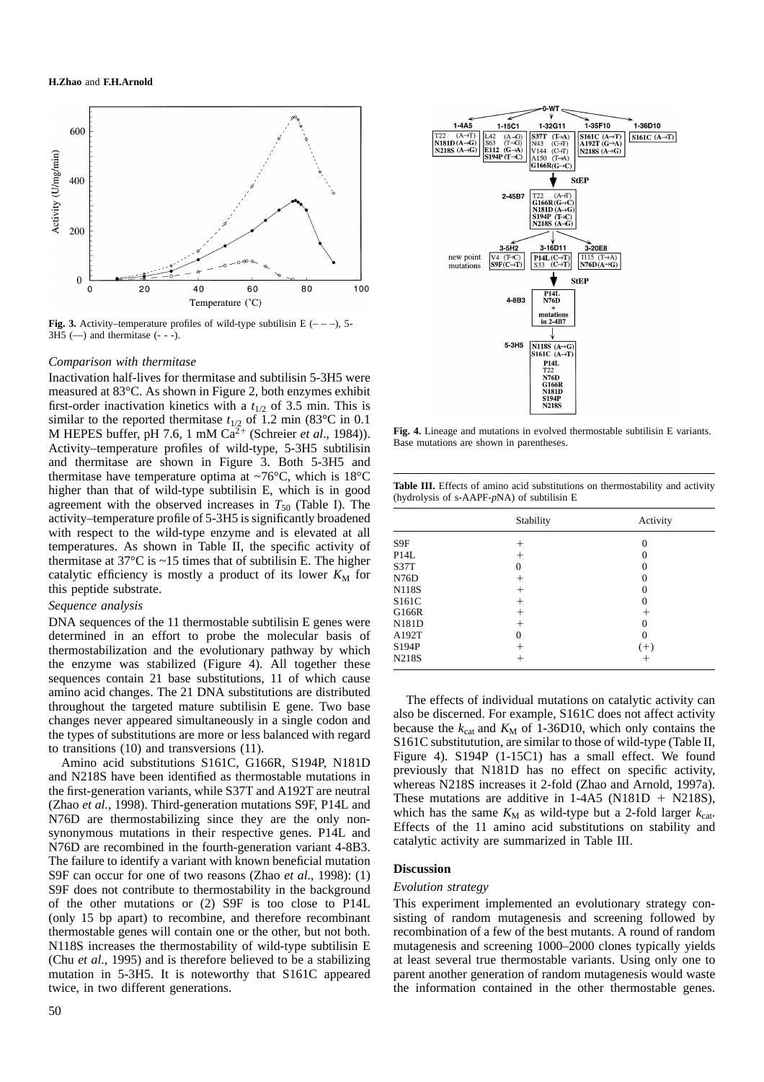

**Fig. 3.** Activity–temperature profiles of wild-type subtilisin E  $(- - )$ , 5- $3H5$  (-) and thermitase (- - -).

#### *Comparison with thermitase*

Inactivation half-lives for thermitase and subtilisin 5-3H5 were measured at 83°C. As shown in Figure 2, both enzymes exhibit first-order inactivation kinetics with a  $t_{1/2}$  of 3.5 min. This is similar to the reported thermitase  $t_{1/2}$  of 1.2 min (83°C in 0.1) M HEPES buffer, pH 7.6, 1 mM  $Ca<sup>2+</sup>$  (Schreier *et al.*, 1984)). Activity–temperature profiles of wild-type, 5-3H5 subtilisin and thermitase are shown in Figure 3. Both 5-3H5 and thermitase have temperature optima at  $\sim 76^{\circ}$ C, which is 18 $^{\circ}$ C higher than that of wild-type subtilisin E, which is in good agreement with the observed increases in  $T_{50}$  (Table I). The activity–temperature profile of 5-3H5 is significantly broadened with respect to the wild-type enzyme and is elevated at all temperatures. As shown in Table II, the specific activity of thermitase at 37°C is ~15 times that of subtilisin E. The higher catalytic efficiency is mostly a product of its lower  $K_M$  for this peptide substrate.

# *Sequence analysis*

DNA sequences of the 11 thermostable subtilisin E genes were determined in an effort to probe the molecular basis of thermostabilization and the evolutionary pathway by which the enzyme was stabilized (Figure 4). All together these sequences contain 21 base substitutions, 11 of which cause amino acid changes. The 21 DNA substitutions are distributed throughout the targeted mature subtilisin E gene. Two base changes never appeared simultaneously in a single codon and the types of substitutions are more or less balanced with regard to transitions (10) and transversions (11).

Amino acid substitutions S161C, G166R, S194P, N181D and N218S have been identified as thermostable mutations in the first-generation variants, while S37T and A192T are neutral (Zhao *et al.*, 1998). Third-generation mutations S9F, P14L and N76D are thermostabilizing since they are the only nonsynonymous mutations in their respective genes. P14L and N76D are recombined in the fourth-generation variant 4-8B3. The failure to identify a variant with known beneficial mutation S9F can occur for one of two reasons (Zhao *et al*., 1998): (1) S9F does not contribute to thermostability in the background of the other mutations or (2) S9F is too close to P14L (only 15 bp apart) to recombine, and therefore recombinant thermostable genes will contain one or the other, but not both. N118S increases the thermostability of wild-type subtilisin E (Chu *et al*., 1995) and is therefore believed to be a stabilizing mutation in 5-3H5. It is noteworthy that S161C appeared twice, in two different generations.



**Fig. 4.** Lineage and mutations in evolved thermostable subtilisin E variants. Base mutations are shown in parentheses.

|  |  |                                                | Table III. Effects of amino acid substitutions on thermostability and activity |  |
|--|--|------------------------------------------------|--------------------------------------------------------------------------------|--|
|  |  | (hydrolysis of s-AAPF- $pNA$ ) of subtilisin E |                                                                                |  |

|              | Stability | Activity |  |
|--------------|-----------|----------|--|
| S9F          |           | 0        |  |
| P14L         | $^+$      | 0        |  |
| S37T         | 0         | 0        |  |
| N76D         | $^{+}$    | 0        |  |
| <b>N118S</b> |           | 0        |  |
| S161C        |           | 0        |  |
| G166R        | +         | +        |  |
| N181D        | $^{+}$    | 0        |  |
| A192T        | 0         | 0        |  |
| S194P        |           | $(+)$    |  |
| <b>N218S</b> |           | +        |  |

The effects of individual mutations on catalytic activity can also be discerned. For example, S161C does not affect activity because the  $k_{\text{cat}}$  and  $K_{\text{M}}$  of 1-36D10, which only contains the S161C substitutution, are similar to those of wild-type (Table II, Figure 4). S194P (1-15C1) has a small effect. We found previously that N181D has no effect on specific activity, whereas N218S increases it 2-fold (Zhao and Arnold, 1997a). These mutations are additive in  $1-4A5$  (N181D + N218S), which has the same  $K_M$  as wild-type but a 2-fold larger  $k_{\text{cat}}$ . Effects of the 11 amino acid substitutions on stability and catalytic activity are summarized in Table III.

# **Discussion**

## *Evolution strategy*

This experiment implemented an evolutionary strategy consisting of random mutagenesis and screening followed by recombination of a few of the best mutants. A round of random mutagenesis and screening 1000–2000 clones typically yields at least several true thermostable variants. Using only one to parent another generation of random mutagenesis would waste the information contained in the other thermostable genes.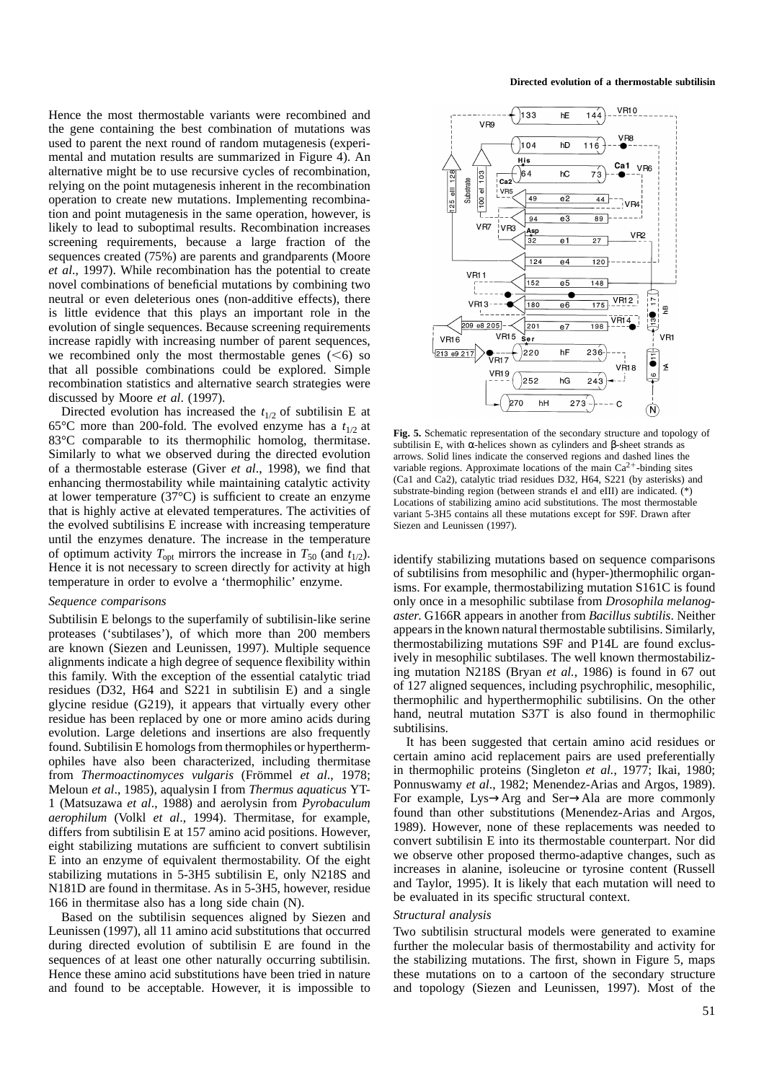Hence the most thermostable variants were recombined and the gene containing the best combination of mutations was used to parent the next round of random mutagenesis (experimental and mutation results are summarized in Figure 4). An alternative might be to use recursive cycles of recombination, relying on the point mutagenesis inherent in the recombination operation to create new mutations. Implementing recombination and point mutagenesis in the same operation, however, is likely to lead to suboptimal results. Recombination increases screening requirements, because a large fraction of the sequences created (75%) are parents and grandparents (Moore *et al*., 1997). While recombination has the potential to create novel combinations of beneficial mutations by combining two neutral or even deleterious ones (non-additive effects), there is little evidence that this plays an important role in the evolution of single sequences. Because screening requirements increase rapidly with increasing number of parent sequences, we recombined only the most thermostable genes  $(<6)$  so that all possible combinations could be explored. Simple recombination statistics and alternative search strategies were discussed by Moore *et al*. (1997).

Directed evolution has increased the  $t_{1/2}$  of subtilisin E at 65<sup>o</sup>C more than 200-fold. The evolved enzyme has a  $t_{1/2}$  at 83°C comparable to its thermophilic homolog, thermitase. Similarly to what we observed during the directed evolution of a thermostable esterase (Giver *et al*., 1998), we find that enhancing thermostability while maintaining catalytic activity at lower temperature (37°C) is sufficient to create an enzyme that is highly active at elevated temperatures. The activities of the evolved subtilisins E increase with increasing temperature until the enzymes denature. The increase in the temperature of optimum activity  $T_{\text{opt}}$  mirrors the increase in  $T_{50}$  (and  $t_{1/2}$ ). Hence it is not necessary to screen directly for activity at high temperature in order to evolve a 'thermophilic' enzyme.

#### *Sequence comparisons*

Subtilisin E belongs to the superfamily of subtilisin-like serine proteases ('subtilases'), of which more than 200 members are known (Siezen and Leunissen, 1997). Multiple sequence alignments indicate a high degree of sequence flexibility within this family. With the exception of the essential catalytic triad residues (D32, H64 and S221 in subtilisin E) and a single glycine residue (G219), it appears that virtually every other residue has been replaced by one or more amino acids during evolution. Large deletions and insertions are also frequently found. Subtilisin E homologs from thermophiles or hyperthermophiles have also been characterized, including thermitase from *Thermoactinomyces vulgaris* (Frömmel *et al.*, 1978; Meloun *et al*., 1985), aqualysin I from *Thermus aquaticus* YT-1 (Matsuzawa *et al*., 1988) and aerolysin from *Pyrobaculum aerophilum* (Volkl *et al*., 1994). Thermitase, for example, differs from subtilisin E at 157 amino acid positions. However, eight stabilizing mutations are sufficient to convert subtilisin E into an enzyme of equivalent thermostability. Of the eight stabilizing mutations in 5-3H5 subtilisin E, only N218S and N181D are found in thermitase. As in 5-3H5, however, residue 166 in thermitase also has a long side chain (N).

Based on the subtilisin sequences aligned by Siezen and Leunissen (1997), all 11 amino acid substitutions that occurred during directed evolution of subtilisin E are found in the sequences of at least one other naturally occurring subtilisin. Hence these amino acid substitutions have been tried in nature and found to be acceptable. However, it is impossible to

**Directed evolution of a thermostable subtilisin**



**Fig. 5.** Schematic representation of the secondary structure and topology of subtilisin E, with α-helices shown as cylinders and β-sheet strands as arrows. Solid lines indicate the conserved regions and dashed lines the variable regions. Approximate locations of the main  $Ca^{2+}$ -binding sites (Ca1 and Ca2), catalytic triad residues D32, H64, S221 (by asterisks) and substrate-binding region (between strands eI and eIII) are indicated. (\*) Locations of stabilizing amino acid substitutions. The most thermostable variant 5-3H5 contains all these mutations except for S9F. Drawn after Siezen and Leunissen (1997).

identify stabilizing mutations based on sequence comparisons of subtilisins from mesophilic and (hyper-)thermophilic organisms. For example, thermostabilizing mutation S161C is found only once in a mesophilic subtilase from *Drosophila melanogaster*. G166R appears in another from *Bacillus subtilis*. Neither appears in the known natural thermostable subtilisins. Similarly, thermostabilizing mutations S9F and P14L are found exclusively in mesophilic subtilases. The well known thermostabilizing mutation N218S (Bryan *et al.*, 1986) is found in 67 out of 127 aligned sequences, including psychrophilic, mesophilic, thermophilic and hyperthermophilic subtilisins. On the other hand, neutral mutation S37T is also found in thermophilic subtilisins.

It has been suggested that certain amino acid residues or certain amino acid replacement pairs are used preferentially in thermophilic proteins (Singleton *et al.*, 1977; Ikai, 1980; Ponnuswamy *et al*., 1982; Menendez-Arias and Argos, 1989). For example, Lys→Arg and Ser→Ala are more commonly found than other substitutions (Menendez-Arias and Argos, 1989). However, none of these replacements was needed to convert subtilisin E into its thermostable counterpart. Nor did we observe other proposed thermo-adaptive changes, such as increases in alanine, isoleucine or tyrosine content (Russell and Taylor, 1995). It is likely that each mutation will need to be evaluated in its specific structural context.

# *Structural analysis*

Two subtilisin structural models were generated to examine further the molecular basis of thermostability and activity for the stabilizing mutations. The first, shown in Figure 5, maps these mutations on to a cartoon of the secondary structure and topology (Siezen and Leunissen, 1997). Most of the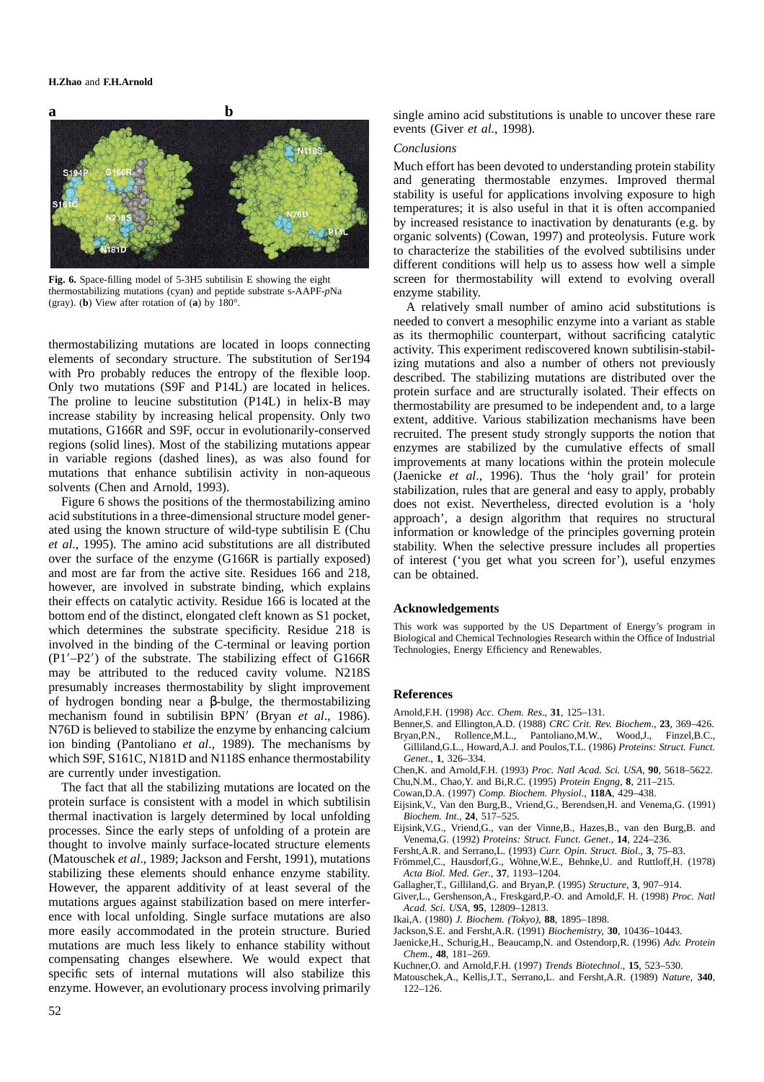## **H.Zhao** and **F.H.Arnold**



**Fig. 6.** Space-filling model of 5-3H5 subtilisin E showing the eight thermostabilizing mutations (cyan) and peptide substrate s-AAPF-*p*Na (gray). (**b**) View after rotation of (**a**) by 180°.

thermostabilizing mutations are located in loops connecting elements of secondary structure. The substitution of Ser194 with Pro probably reduces the entropy of the flexible loop. Only two mutations (S9F and P14L) are located in helices. The proline to leucine substitution (P14L) in helix-B may increase stability by increasing helical propensity. Only two mutations, G166R and S9F, occur in evolutionarily-conserved regions (solid lines). Most of the stabilizing mutations appear in variable regions (dashed lines), as was also found for mutations that enhance subtilisin activity in non-aqueous solvents (Chen and Arnold, 1993).

Figure 6 shows the positions of the thermostabilizing amino acid substitutions in a three-dimensional structure model generated using the known structure of wild-type subtilisin E (Chu *et al*., 1995). The amino acid substitutions are all distributed over the surface of the enzyme (G166R is partially exposed) and most are far from the active site. Residues 166 and 218, however, are involved in substrate binding, which explains their effects on catalytic activity. Residue 166 is located at the bottom end of the distinct, elongated cleft known as S1 pocket, which determines the substrate specificity. Residue 218 is involved in the binding of the C-terminal or leaving portion  $(P1' - P2')$  of the substrate. The stabilizing effect of G166R may be attributed to the reduced cavity volume. N218S presumably increases thermostability by slight improvement of hydrogen bonding near a β-bulge, the thermostabilizing mechanism found in subtilisin BPN<sup>'</sup> (Bryan *et al.*, 1986). N76D is believed to stabilize the enzyme by enhancing calcium ion binding (Pantoliano *et al*., 1989). The mechanisms by which S9F, S161C, N181D and N118S enhance thermostability are currently under investigation.

The fact that all the stabilizing mutations are located on the protein surface is consistent with a model in which subtilisin thermal inactivation is largely determined by local unfolding processes. Since the early steps of unfolding of a protein are thought to involve mainly surface-located structure elements (Matouschek *et al*., 1989; Jackson and Fersht, 1991), mutations stabilizing these elements should enhance enzyme stability. However, the apparent additivity of at least several of the mutations argues against stabilization based on mere interference with local unfolding. Single surface mutations are also more easily accommodated in the protein structure. Buried mutations are much less likely to enhance stability without compensating changes elsewhere. We would expect that specific sets of internal mutations will also stabilize this enzyme. However, an evolutionary process involving primarily

single amino acid substitutions is unable to uncover these rare events (Giver *et al.*, 1998).

# *Conclusions*

Much effort has been devoted to understanding protein stability and generating thermostable enzymes. Improved thermal stability is useful for applications involving exposure to high temperatures; it is also useful in that it is often accompanied by increased resistance to inactivation by denaturants (e.g. by organic solvents) (Cowan, 1997) and proteolysis. Future work to characterize the stabilities of the evolved subtilisins under different conditions will help us to assess how well a simple screen for thermostability will extend to evolving overall enzyme stability.

A relatively small number of amino acid substitutions is needed to convert a mesophilic enzyme into a variant as stable as its thermophilic counterpart, without sacrificing catalytic activity. This experiment rediscovered known subtilisin-stabilizing mutations and also a number of others not previously described. The stabilizing mutations are distributed over the protein surface and are structurally isolated. Their effects on thermostability are presumed to be independent and, to a large extent, additive. Various stabilization mechanisms have been recruited. The present study strongly supports the notion that enzymes are stabilized by the cumulative effects of small improvements at many locations within the protein molecule (Jaenicke *et al*., 1996). Thus the 'holy grail' for protein stabilization, rules that are general and easy to apply, probably does not exist. Nevertheless, directed evolution is a 'holy approach', a design algorithm that requires no structural information or knowledge of the principles governing protein stability. When the selective pressure includes all properties of interest ('you get what you screen for'), useful enzymes can be obtained.

#### **Acknowledgements**

This work was supported by the US Department of Energy's program in Biological and Chemical Technologies Research within the Office of Industrial Technologies, Energy Efficiency and Renewables.

## **References**

- Arnold,F.H. (1998) *Acc. Chem. Res*., **31**, 125–131.
- Benner,S. and Ellington,A.D. (1988) *CRC Crit. Rev. Biochem*., **23**, 369–426.
- Bryan,P.N., Rollence,M.L., Pantoliano,M.W., Wood,J., Finzel,B.C., Gilliland,G.L., Howard,A.J. and Poulos,T.L. (1986) *Proteins: Struct. Funct. Genet*., **1**, 326–334.
- Chen,K. and Arnold,F.H. (1993) *Proc. Natl Acad. Sci. USA*, **90**, 5618–5622.
- Chu,N.M., Chao,Y. and Bi,R.C. (1995) *Protein Engng*, **8**, 211–215.
- Cowan,D.A. (1997) *Comp. Biochem. Physiol*., **118A**, 429–438.
- Eijsink,V., Van den Burg,B., Vriend,G., Berendsen,H. and Venema,G. (1991) *Biochem. Int*., **24**, 517–525.
- Eijsink,V.G., Vriend,G., van der Vinne,B., Hazes,B., van den Burg,B. and Venema,G. (1992) *Proteins: Struct. Funct. Genet*., **14**, 224–236.
- Fersht,A.R. and Serrano,L. (1993) *Curr. Opin. Struct. Biol*., **3**, 75–83.
- Frömmel,C., Hausdorf,G., Wöhne,W.E., Behnke,U. and Ruttloff,H. (1978) *Acta Biol. Med. Ger*., **37**, 1193–1204.
- Gallagher,T., Gilliland,G. and Bryan,P. (1995) *Structure*, **3**, 907–914.
- Giver,L., Gershenson,A., Freskgard,P.-O. and Arnold,F. H. (1998) *Proc. Natl*
- *Acad. Sci. USA*, **95**, 12809–12813. Ikai,A. (1980) *J. Biochem. (Tokyo)*, **88**, 1895–1898.
- Jackson,S.E. and Fersht,A.R. (1991) *Biochemistry*, **30**, 10436–10443.
- Jaenicke,H., Schurig,H., Beaucamp,N. and Ostendorp,R. (1996) *Adv. Protein Chem.*, **48**, 181–269.
- Kuchner,O. and Arnold,F.H. (1997) *Trends Biotechnol*., **15**, 523–530.
- Matouschek,A., Kellis,J.T., Serrano,L. and Fersht,A.R. (1989) *Nature*, **340**, 122–126.